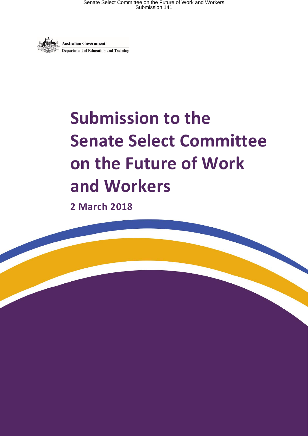

# **Submission to the Senate Select Committee on the Future of Work and Workers**

**2 March 2018**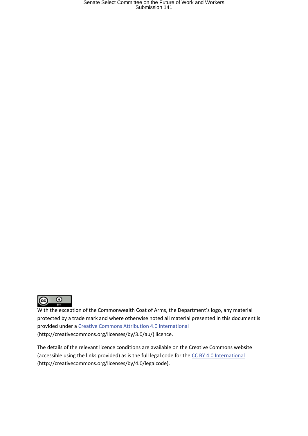

With the exception of the Commonwealth Coat of Arms, the Department's logo, any material protected by a trade mark and where otherwise noted all material presented in this document is provided under a [Creative Commons Attribution 4.0 International](http://dnet.hosts.network/education/Resources/Documents/Creative%20Commons%20Attribution%204.0%20International) (http://creativecommons.org/licenses/by/3.0/au/) licence.

The details of the relevant licence conditions are available on the Creative Commons website (accessible using the links provided) as is the full legal code for th[e CC BY 4.0 International](http://dnet.hosts.network/education/Resources/Documents/CC%20BY%204.0%20International) (http://creativecommons.org/licenses/by/4.0/legalcode).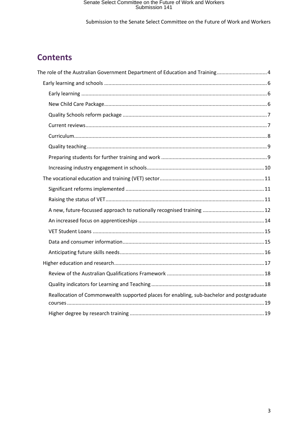Submission to the Senate Select Committee on the Future of Work and Workers

### **Contents**

| The role of the Australian Government Department of Education and Training 4              |  |
|-------------------------------------------------------------------------------------------|--|
|                                                                                           |  |
|                                                                                           |  |
|                                                                                           |  |
|                                                                                           |  |
|                                                                                           |  |
|                                                                                           |  |
|                                                                                           |  |
|                                                                                           |  |
|                                                                                           |  |
|                                                                                           |  |
|                                                                                           |  |
|                                                                                           |  |
|                                                                                           |  |
|                                                                                           |  |
|                                                                                           |  |
|                                                                                           |  |
|                                                                                           |  |
|                                                                                           |  |
|                                                                                           |  |
|                                                                                           |  |
| Reallocation of Commonwealth supported places for enabling, sub-bachelor and postgraduate |  |
|                                                                                           |  |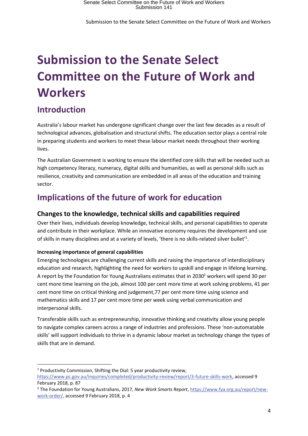## **Submission to the Senate Select Committee on the Future of Work and Workers**

### <span id="page-3-0"></span>**Introduction**

Australia's labour market has undergone significant change over the last few decades as a result of technological advances, globalisation and structural shifts. The education sector plays a central role in preparing students and workers to meet these labour market needs throughout their working lives.

The Australian Government is working to ensure the identified core skills that will be needed such as high competency literacy, numeracy, digital skills and humanities, as well as personal skills such as resilience, creativity and communication are embedded in all areas of the education and training sector.

### **Implications of the future of work for education**

#### **Changes to the knowledge, technical skills and capabilities required**

Over their lives, individuals develop knowledge, technical skills, and personal capabilities to operate and contribute in their workplace. While an innovative economy requires the development and use of skills in many disciplines and at a variety of levels, 'there is no skills-related silver bullet'<sup>1</sup>.

#### **Increasing importance of general capabilities**

Emerging technologies are challenging current skills and raising the importance of interdisciplinary education and research, highlighting the need for workers to upskill and engage in lifelong learning. A report by the Foundation for Young Australians estimates that in 2030<sup>2</sup> workers will spend 30 per cent more time learning on the job, almost 100 per cent more time at work solving problems, 41 per cent more time on critical thinking and judgement,77 per cent more time using science and mathematics skills and 17 per cent more time per week using verbal communication and interpersonal skills.

Transferable skills such as entrepreneurship, innovative thinking and creativity allow young people to navigate complex careers across a range of industries and professions. These 'non-automatable skills' will support individuals to thrive in a dynamic labour market as technology change the types of skills that are in demand.

**<sup>.</sup>** <sup>1</sup> Productivity Commission, Shifting the Dial: 5 year productivity review,

[https://www.pc.gov.au/inquiries/completed/productivity-review/report/3-future-skills-work,](https://www.pc.gov.au/inquiries/completed/productivity-review/report/3-future-skills-work) accessed 9 February 2018, p. 87

<sup>2</sup> The Foundation for Young Australians, 2017, *New Work Smarts Report*, [https://www.fya.org.au/report/new](https://www.fya.org.au/report/new-work-order/)[work-order/,](https://www.fya.org.au/report/new-work-order/) accessed 9 February 2018, p. 4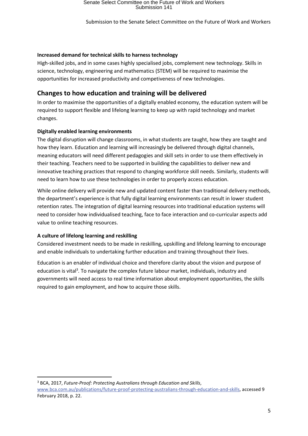#### **Increased demand for technical skills to harness technology**

High-skilled jobs, and in some cases highly specialised jobs, complement new technology. Skills in science, technology, engineering and mathematics (STEM) will be required to maximise the opportunities for increased productivity and competiveness of new technologies.

#### **Changes to how education and training will be delivered**

In order to maximise the opportunities of a digitally enabled economy, the education system will be required to support flexible and lifelong learning to keep up with rapid technology and market changes.

#### **Digitally enabled learning environments**

The digital disruption will change classrooms, in what students are taught, how they are taught and how they learn. Education and learning will increasingly be delivered through digital channels, meaning educators will need different pedagogies and skill sets in order to use them effectively in their teaching. Teachers need to be supported in building the capabilities to deliver new and innovative teaching practices that respond to changing workforce skill needs. Similarly, students will need to learn how to use these technologies in order to properly access education.

While online delivery will provide new and updated content faster than traditional delivery methods, the department's experience is that fully digital learning environments can result in lower student retention rates. The integration of digital learning resources into traditional education systems will need to consider how individualised teaching, face to face interaction and co-curricular aspects add value to online teaching resources.

#### **A culture of lifelong learning and reskilling**

**.** 

Considered investment needs to be made in reskilling, upskilling and lifelong learning to encourage and enable individuals to undertaking further education and training throughout their lives.

Education is an enabler of individual choice and therefore clarity about the vision and purpose of education is vital<sup>3</sup>. To navigate the complex future labour market, individuals, industry and governments will need access to real time information about employment opportunities, the skills required to gain employment, and how to acquire those skills.

<sup>3</sup> BCA, 2017, *Future-Proof: Protecting Australians through Education and Skills*, [www.bca.com.au/publications/future-proof-protecting-australians-through-education-and-skills,](http://www.bca.com.au/publications/future-proof-protecting-australians-through-education-and-skills) accessed 9 February 2018, p. 22.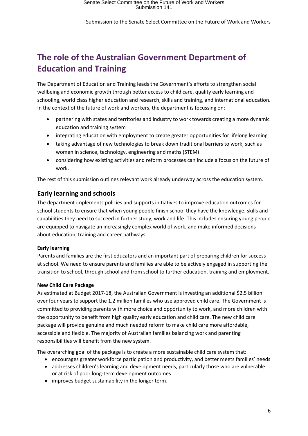### **The role of the Australian Government Department of Education and Training**

The Department of Education and Training leads the Government's efforts to strengthen social wellbeing and economic growth through better access to child care, quality early learning and schooling, world class higher education and research, skills and training, and international education. In the context of the future of work and workers, the department is focussing on:

- partnering with states and territories and industry to work towards creating a more dynamic education and training system
- integrating education with employment to create greater opportunities for lifelong learning
- taking advantage of new technologies to break down traditional barriers to work, such as women in science, technology, engineering and maths (STEM)
- considering how existing activities and reform processes can include a focus on the future of work.

The rest of this submission outlines relevant work already underway across the education system.

#### <span id="page-5-0"></span>**Early learning and schools**

The department implements policies and supports initiatives to improve education outcomes for school students to ensure that when young people finish school they have the knowledge, skills and capabilities they need to succeed in further study, work and life. This includes ensuring young people are equipped to navigate an increasingly complex world of work, and make informed decisions about education, training and career pathways.

#### <span id="page-5-1"></span>**Early learning**

Parents and families are the first educators and an important part of preparing children for success at school. We need to ensure parents and families are able to be actively engaged in supporting the transition to school, through school and from school to further education, training and employment.

#### <span id="page-5-2"></span>**New Child Care Package**

As estimated at Budget 2017-18, the Australian Government is investing an additional \$2.5 billion over four years to support the 1.2 million families who use approved child care. The Government is committed to providing parents with more choice and opportunity to work, and more children with the opportunity to benefit from high quality early education and child care. The new child care package will provide genuine and much needed reform to make child care more affordable, accessible and flexible. The majority of Australian families balancing work and parenting responsibilities will benefit from the new system.

The overarching goal of the package is to create a more sustainable child care system that:

- encourages greater workforce participation and productivity, and better meets families' needs
- addresses children's learning and development needs, particularly those who are vulnerable or at risk of poor long-term development outcomes
- improves budget sustainability in the longer term.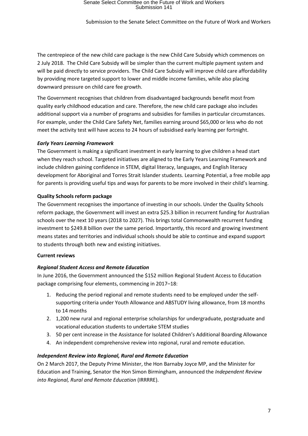The centrepiece of the new child care package is the new Child Care Subsidy which commences on 2 July 2018. The Child Care Subsidy will be simpler than the current multiple payment system and will be paid directly to service providers. The Child Care Subsidy will improve child care affordability by providing more targeted support to lower and middle income families, while also placing downward pressure on child care fee growth.

The Government recognises that children from disadvantaged backgrounds benefit most from quality early childhood education and care. Therefore, the new child care package also includes additional support via a number of programs and subsidies for families in particular circumstances. For example, under the Child Care Safety Net, families earning around \$65,000 or less who do not meet the activity test will have access to 24 hours of subsidised early learning per fortnight.

#### *Early Years Learning Framework*

The Government is making a significant investment in early learning to give children a head start when they reach school. Targeted initiatives are aligned to the Early Years Learning Framework and include children gaining confidence in STEM, digital literacy, languages, and English literacy development for Aboriginal and Torres Strait Islander students. Learning Potential, a free mobile app for parents is providing useful tips and ways for parents to be more involved in their child's learning.

#### <span id="page-6-0"></span>**Quality Schools reform package**

The Government recognises the importance of investing in our schools. Under the Quality Schools reform package, the Government will invest an extra \$25.3 billion in recurrent funding for Australian schools over the next 10 years (2018 to 2027). This brings total Commonwealth recurrent funding investment to \$249.8 billion over the same period. Importantly, this record and growing investment means states and territories and individual schools should be able to continue and expand support to students through both new and existing initiatives.

#### <span id="page-6-1"></span>**Current reviews**

#### *Regional Student Access and Remote Education*

In June 2016, the Government announced the \$152 million Regional Student Access to Education package comprising four elements, commencing in 2017–18:

- 1. Reducing the period regional and remote students need to be employed under the selfsupporting criteria under Youth Allowance and ABSTUDY living allowance, from 18 months to 14 months
- 2. 1,200 new rural and regional enterprise scholarships for undergraduate, postgraduate and vocational education students to undertake STEM studies
- 3. 50 per cent increase in the Assistance for Isolated Children's Additional Boarding Allowance
- 4. An independent comprehensive review into regional, rural and remote education.

#### *Independent Review into Regional, Rural and Remote Education*

On 2 March 2017, the Deputy Prime Minister, the Hon Barnaby Joyce MP, and the Minister for Education and Training, Senator the Hon Simon Birmingham, announced the *Independent Review into Regional, Rural and Remote Education* (IRRRRE).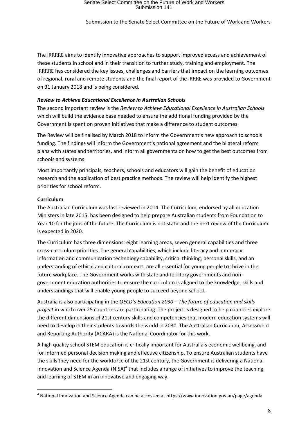The IRRRRE aims to identify innovative approaches to support improved access and achievement of these students in school and in their transition to further study, training and employment. The IRRRRE has considered the key issues, challenges and barriers that impact on the learning outcomes of regional, rural and remote students and the final report of the IRRRE was provided to Government on 31 January 2018 and is being considered.

#### *Review to Achieve Educational Excellence in Australian Schools*

The second important review is the *Review to Achieve Educational Excellence in Australian Schools* which will build the evidence base needed to ensure the additional funding provided by the Government is spent on proven initiatives that make a difference to student outcomes.

The Review will be finalised by March 2018 to inform the Government's new approach to schools funding. The findings will inform the Government's national agreement and the bilateral reform plans with states and territories, and inform all governments on how to get the best outcomes from schools and systems.

Most importantly principals, teachers, schools and educators will gain the benefit of education research and the application of best practice methods. The review will help identify the highest priorities for school reform.

#### <span id="page-7-0"></span>**Curriculum**

**.** 

The Australian Curriculum was last reviewed in 2014. The Curriculum, endorsed by all education Ministers in late 2015, has been designed to help prepare Australian students from Foundation to Year 10 for the jobs of the future. The Curriculum is not static and th[e next review of the Curriculum](https://australiancurriculum.edu.au/) is expected in 2020.

The Curriculum has three dimensions: eight learning areas, seven general capabilities and three cross-curriculum priorities. The general capabilities, which include literacy and numeracy, information and communication technology capability, critical thinking, personal skills, and an understanding of ethical and cultural contexts, are all essential for young people to thrive in the future workplace. The Government works with state and territory governments and nongovernment education authorities to ensure the curriculum is aligned to the knowledge, skills and understandings that will enable young people to succeed beyond school.

Australia is also participating in the *OECD's Education 2030 – The future of education and skills project* in which over 25 countries are participating. The project is designed to help countries explore the different dimensions of 21st century skills and competencies that modern education systems will need to develop in their students towards the world in 2030. The Australian Curriculum, Assessment and Reporting Authority (ACARA) is the National Coordinator for this work.

A high quality school STEM education is critically important for Australia's economic wellbeing, and for informed personal decision making and effective citizenship. To ensure Australian students have the skills they need for the workforce of the 21st century, the Government is delivering a National Innovation and Science Agenda (NISA)<sup>4</sup> that includes a range of initiatives to improve the teaching and learning of STEM in an innovative and engaging way.

<sup>4</sup> National Innovation and Science Agenda can be accessed at https://www.innovation.gov.au/page/agenda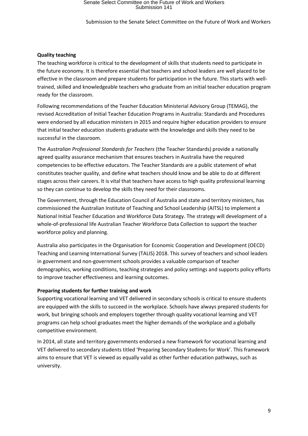Submission to the Senate Select Committee on the Future of Work and Workers

#### <span id="page-8-0"></span>**Quality teaching**

The teaching workforce is critical to the development of skills that students need to participate in the future economy. It is therefore essential that teachers and school leaders are well placed to be effective in the classroom and prepare students for participation in the future. This starts with welltrained, skilled and knowledgeable teachers who graduate from an initial teacher education program ready for the classroom.

Following recommendations of the Teacher Education Ministerial Advisory Group (TEMAG), the revised Accreditation of Initial Teacher Education Programs in Australia: Standards and Procedures were endorsed by all education ministers in 2015 and require higher education providers to ensure that initial teacher education students graduate with the knowledge and skills they need to be successful in the classroom.

The *Australian Professional Standards for Teachers* (the Teacher Standards) provide a nationally agreed quality assurance mechanism that ensures teachers in Australia have the required competencies to be effective educators. The Teacher Standards are a public statement of what constitutes teacher quality, and define what teachers should know and be able to do at different stages across their careers. It is vital that teachers have access to high quality professional learning so they can continue to develop the skills they need for their classrooms.

The Government, through the Education Council of Australia and state and territory ministers, has commissioned the Australian Institute of Teaching and School Leadership (AITSL) to implement a National Initial Teacher Education and Workforce Data Strategy. The strategy will development of a whole-of-professional life Australian Teacher Workforce Data Collection to support the teacher workforce policy and planning.

Australia also participates in the Organisation for Economic Cooperation and Development (OECD) Teaching and Learning International Survey (TALIS) 2018. This survey of teachers and school leaders in government and non-government schools provides a valuable comparison of teacher demographics, working conditions, teaching strategies and policy settings and supports policy efforts to improve teacher effectiveness and learning outcomes.

#### <span id="page-8-1"></span>**Preparing students for further training and work**

Supporting vocational learning and VET delivered in secondary schools is critical to ensure students are equipped with the skills to succeed in the workplace. Schools have always prepared students for work, but bringing schools and employers together through quality vocational learning and VET programs can help school graduates meet the higher demands of the workplace and a globally competitive environment.

In 2014, all state and territory governments endorsed a new framework for vocational learning and VET delivered to secondary students titled 'Preparing Secondary Students for Work'. This framework aims to ensure that VET is viewed as equally valid as other further education pathways, such as university.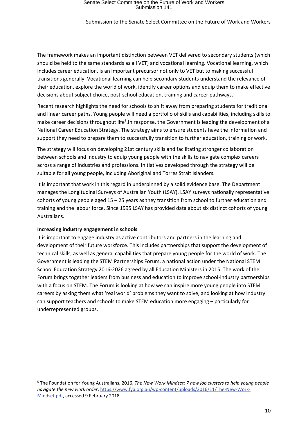Submission to the Senate Select Committee on the Future of Work and Workers

The framework makes an important distinction between VET delivered to secondary students (which should be held to the same standards as all VET) and vocational learning. Vocational learning, which includes career education, is an important precursor not only to VET but to making successful transitions generally. Vocational learning can help secondary students understand the relevance of their education, explore the world of work, identify career options and equip them to make effective decisions about subject choice, post-school education, training and career pathways.

Recent research highlights the need for schools to shift away from preparing students for traditional and linear career paths. Young people will need a portfolio of skills and capabilities, including skills to make career decisions throughout life<sup>5</sup>. In response, the Government is leading the development of a National Career Education Strategy. The strategy aims to ensure students have the information and support they need to prepare them to successfully transition to further education, training or work.

The strategy will focus on developing 21st century skills and facilitating stronger collaboration between schools and industry to equip young people with the skills to navigate complex careers across a range of industries and professions. Initiatives developed through the strategy will be suitable for all young people, including Aboriginal and Torres Strait Islanders.

It is important that work in this regard in underpinned by a solid evidence base. The Department manages the Longitudinal Surveys of Australian Youth (LSAY). LSAY surveys nationally representative cohorts of young people aged 15 – 25 years as they transition from school to further education and training and the labour force. Since 1995 LSAY has provided data about six distinct cohorts of young Australians.

#### <span id="page-9-0"></span>**Increasing industry engagement in schools**

**.** 

It is important to engage industry as active contributors and partners in the learning and development of their future workforce. This includes partnerships that support the development of technical skills, as well as general capabilities that prepare young people for the world of work. The Government is leading the STEM Partnerships Forum, a national action under the National STEM School Education Strategy 2016-2026 agreed by all Education Ministers in 2015. The work of the Forum brings together leaders from business and education to improve school-industry partnerships with a focus on STEM. The Forum is looking at how we can inspire more young people into STEM careers by asking them what 'real world' problems they want to solve, and looking at how industry can support teachers and schools to make STEM education more engaging – particularly for underrepresented groups.

<sup>5</sup> The Foundation for Young Australians, 2016, *The New Work Mindset: 7 new job clusters to help young people navigate the new work order*, [https://www.fya.org.au/wp-content/uploads/2016/11/The-New-Work-](https://www.fya.org.au/wp-content/uploads/2016/11/The-New-Work-Mindset.pdf)[Mindset.pdf,](https://www.fya.org.au/wp-content/uploads/2016/11/The-New-Work-Mindset.pdf) accessed 9 February 2018.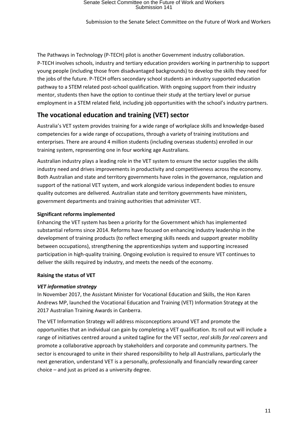The Pathways in Technology (P-TECH) pilot is another Government industry collaboration. P-TECH involves schools, industry and tertiary education providers working in partnership to support young people (including those from disadvantaged backgrounds) to develop the skills they need for the jobs of the future. P-TECH offers secondary school students an industry supported education pathway to a STEM related post-school qualification. With ongoing support from their industry mentor, students then have the option to continue their study at the tertiary level or pursue employment in a STEM related field, including job opportunities with the school's industry partners.

#### <span id="page-10-0"></span>**The vocational education and training (VET) sector**

Australia's VET system provides training for a wide range of workplace skills and knowledge-based competencies for a wide range of occupations, through a variety of training institutions and enterprises. There are around 4 million students (including overseas students) enrolled in our training system, representing one in four working age Australians.

Australian industry plays a leading role in the VET system to ensure the sector supplies the skills industry need and drives improvements in productivity and competitiveness across the economy. Both Australian and state and territory governments have roles in the governance, regulation and support of the national VET system, and work alongside various independent bodies to ensure quality outcomes are delivered. Australian state and territory governments have ministers, government departments and training authorities that administer VET.

#### <span id="page-10-1"></span>**Significant reforms implemented**

Enhancing the VET system has been a priority for the Government which has implemented [substantial reforms since 2014.](https://www.education.gov.au/government-priorities-vocational-education-and-training) Reforms have focused on enhancing industry leadership in the development of training products (to reflect emerging skills needs and support greater mobility between occupations), strengthening the apprenticeships system and supporting increased participation in high-quality training. Ongoing evolution is required to ensure VET continues to deliver the skills required by industry, and meets the needs of the economy.

#### <span id="page-10-2"></span>**Raising the status of VET**

#### *VET information strategy*

In November 2017, the Assistant Minister for Vocational Education and Skills, the Hon Karen Andrews MP, launched the Vocational Education and Training (VET) Information Strategy at the 2017 [Australian Training Awards](http://www.australiantrainingawards.gov.au/) in Canberra.

The VET Information Strategy will address misconceptions around VET and promote the opportunities that an individual can gain by completing a VET qualification. Its roll out will include a range of initiatives centred around a united tagline for the VET sector, *real skills for real careers* and promote a collaborative approach by stakeholders and corporate and community partners. The sector is encouraged to unite in their shared responsibility to help all Australians, particularly the next generation, understand VET is a personally, professionally and financially rewarding career choice – and just as prized as a university degree.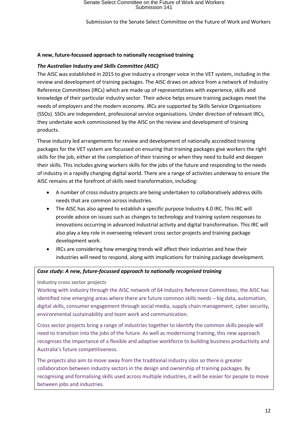#### <span id="page-11-0"></span>**A new, future-focussed approach to nationally recognised training**

#### *The Australian Industry and Skills Committee (AISC)*

The [AISC](https://www.education.gov.au/AISC) was established in 2015 to give industry a stronger voice in the VET system, including in the review and development of training packages. The AISC draws on advice from a network of Industry Reference Committees (IRCs) which are made up of representatives with experience, skills and knowledge of their particular industry sector. Their advice helps ensure training packages meet the needs of employers and the modern economy. IRCs are supported by Skills Service Organisations (SSOs). SSOs are independent, professional service organisations. Under direction of relevant IRCs, they undertake work commissioned by the AISC on the review and development of training products.

These industry led arrangements for review and development of nationally accredited training packages for the VET system are focussed on ensuring that training packages give workers the right skills for the job, either at the completion of their training or when they need to build and deepen their skills. This includes giving workers skills for the jobs of the future and responding to the needs of industry in a rapidly changing digital world. There are a range of activities underway to ensure the AISC remains at the forefront of skills need transformation, including:

- A number of cross industry projects are being undertaken to collaboratively address skills needs that are common across industries.
- The AISC has also agreed to establish a specific purpose Industry 4.0 IRC. This IRC will provide advice on issues such as changes to technology and training system responses to innovations occurring in advanced industrial activity and digital transformation. This IRC will also play a key role in overseeing relevant cross sector projects and training package development work.
- IRCs are considering how emerging trends will affect their industries and how their industries will need to respond, along with implications for training package development.

#### *Case study: A new, future-focussed approach to nationally recognised training*

**Industry cross sector projects**

Working with industry through the AISC network of 64 Industry Reference Committees, the AISC has identified nine emerging areas where there are future common skills needs – big data, automation, digital skills, consumer engagement through social media, supply chain management, cyber security, environmental sustainability and team work and communication.

Cross sector projects bring a range of industries together to identify the common skills people will need to transition into the jobs of the future. As well as modernising training, this new approach recognises the importance of a flexible and adaptive workforce to building business productivity and Australia's future competitiveness.

The projects also aim to move away from the traditional industry silos so there is greater collaboration between industry sectors in the design and ownership of training packages. By recognising and formalising skills used across multiple industries, it will be easier for people to move between jobs and industries.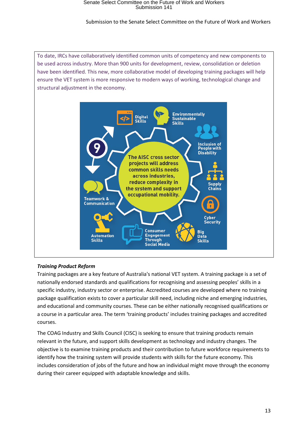#### Submission to the Senate Select Committee on the Future of Work and Workers



#### *Training Product Reform*

Training packages are a key feature of Australia's national VET system. A training package is a set of nationally endorsed standards and qualifications for recognising and assessing peoples' skills in a specific industry, industry sector or enterprise. Accredited courses are developed where no training package qualification exists to cover a particular skill need, including niche and emerging industries, and educational and community courses. These can be either nationally recognised qualifications or a course in a particular area. The term 'training products' includes training packages and accredited courses.

The COAG Industry and Skills Council (CISC) is seeking to ensure that training products remain relevant in the future, and support skills development as technology and industry changes. The objective is to examine training products and their contribution to future workforce requirements to identify how the training system will provide students with skills for the future economy. This includes consideration of jobs of the future and how an individual might move through the economy during their career equipped with adaptable knowledge and skills.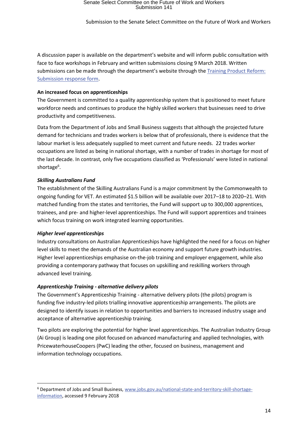A discussion paper is available on the department's website and will inform public consultation with face to face workshops in February and [written submissions](https://docs.education.gov.au/documents/training-product-reform-submission-response-form) closing 9 March 2018. Written submissions can be made through the department's website through th[e Training Product Reform:](https://docs.education.gov.au/documents/training-product-reform-submission-response-form)  [Submission response form.](https://docs.education.gov.au/documents/training-product-reform-submission-response-form)

#### <span id="page-13-0"></span>**An increased focus on apprenticeships**

The Government is committed to a quality apprenticeship system that is positioned to meet future workforce needs and continues to produce the highly skilled workers that businesses need to drive productivity and competitiveness.

Data from the Department of Jobs and Small Business suggests that although the projected future demand for technicians and trades workers is below that of professionals, there is evidence that the labour market is less adequately supplied to meet current and future needs. 22 trades worker occupations are listed as being in national shortage, with a number of trades in shortage for most of the last decade. In contrast, only five occupations classified as 'Professionals' were listed in national shortage<sup>6</sup>.

#### *Skilling Australians Fund*

The establishment of the Skilling Australians Fund is a major commitment by the Commonwealth to ongoing funding for VET. An estimated \$1.5 billion will be available over 2017–18 to 2020–21. With matched funding from the states and territories, the Fund will support up to 300,000 apprentices, trainees, and pre- and higher-level apprenticeships. The Fund will support apprentices and trainees which focus training on work integrated learning opportunities.

#### *Higher level apprenticeships*

1

Industry consultations on Australian Apprenticeships have highlighted the need for a focus on higher level skills to meet the demands of the Australian economy and support future growth industries. Higher level apprenticeships emphasise on-the-job training and employer engagement, while also providing a contemporary pathway that focuses on upskilling and reskilling workers through advanced level training.

#### *Apprenticeship Training - alternative delivery pilots*

The Government's Apprenticeship Training - alternative delivery pilots (the pilots) program is funding five industry-led pilots trialling innovative apprenticeship arrangements. The pilots are designed to identify issues in relation to opportunities and barriers to increased industry usage and acceptance of alternative apprenticeship training.

Two pilots are exploring the potential for higher level apprenticeships. The Australian Industry Group (Ai Group) is leading one pilot focused on advanced manufacturing and applied technologies, with PricewaterhouseCoopers (PwC) leading the other, focused on business, management and information technology occupations.

<sup>6</sup> Department of Jobs and Small Business, [www.jobs.gov.au/national-state-and-territory-skill-shortage](http://www.jobs.gov.au/national-state-and-territory-skill-shortage-information)[information,](http://www.jobs.gov.au/national-state-and-territory-skill-shortage-information) accessed 9 February 2018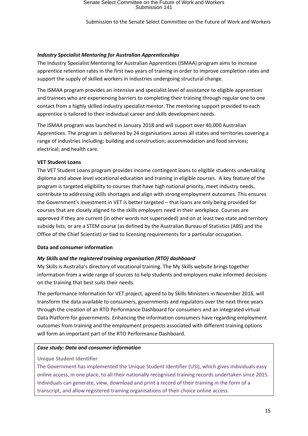#### *Industry Specialist Mentoring for Australian Apprenticeships*

The Industry Specialist Mentoring for Australian Apprentices (ISMAA) program aims to increase apprentice retention rates in the first two years of training in order to improve completion rates and support the supply of skilled workers in industries undergoing structural change.

The ISMAA program provides an intensive and specialist level of assistance to eligible apprentices and trainees who are experiencing barriers to completing their training through regular one to one contact from a highly skilled industry specialist mentor. The mentoring support provided to each apprentice is tailored to their individual career and skills development needs.

The ISMAA program was launched in January 2018 and will support over 40,000 Australian Apprentices. The program is delivered by 24 organisations across all states and territories covering a range of industries including: building and construction; accommodation and food services; electrical; and health care.

#### <span id="page-14-0"></span>**VET Student Loans**

The VET Student Loans program provides income contingent loans to eligible students undertaking diploma and above level vocational education and training in eligible courses. A key feature of the program is targeted eligibility to courses that have high national priority, meet industry needs, contribute to addressing skills shortages and align with strong employment outcomes. This ensures the Government's investment in VET is better targeted – that loans are only being provided for courses that are closely aligned to the skills employers need in their workplace. Courses are approved if they are current (in other words not superseded) and on at least two state and territory subsidy lists, or are a STEM course (as defined by the Australian Bureau of Statistics (ABS) and the Office of the Chief Scientist) or tied to licensing requirements for a particular occupation.

#### <span id="page-14-1"></span>**Data and consumer information**

#### *My Skills and the registered training organisation (RTO) dashboard*

My Skills is Australia's directory of vocational training. The My Skills website brings together information from a wide range of sources to help students and employers make informed decisions on the training that best suits their needs.

The performance Information for VET project, agreed to by Skills Ministers in November 2016, will transform the data available to consumers, governments and regulators over the next three years through the creation of an RTO Performance Dashboard for consumers and an integrated virtual Data Platform for governments. Enhancing the information consumers have regarding employment outcomes from training and the employment prospects associated with different training options will form an important part of the RTO Performance Dashboard.

#### *Case study: Data and consumer information*

#### **[Unique Student Identifier](https://www.usi.gov.au/)**

The Government has implemented the [Unique Student Identifier](https://www.usi.gov.au/) (USI), which gives individuals easy online access, in one place, to all their nationally recognised training records undertaken since 2015. Individuals can generate, view, download and print a record of their training in the form of a transcript, and allow registered training organisations of their choice online access.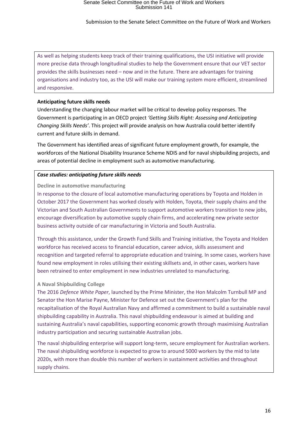As well as helping students keep track of their training qualifications, the USI initiative will provide more precise data through longitudinal studies to help the Government ensure that our VET sector provides the skills businesses need – now and in the future. There are advantages for training organisations and industry too, as the USI will make our training system more efficient, streamlined and responsive.

#### <span id="page-15-0"></span>**Anticipating future skills needs**

Understanding the changing labour market will be critical to develop policy responses. The Government is participating in an OECD project *'Getting Skills Right: Assessing and Anticipating Changing Skills Needs'*. This project will provide analysis on how Australia could better identify current and future skills in demand.

The Government has identified areas of significant future employment growth, for example, the workforces of the National Disability Insurance Scheme NDIS and for naval shipbuilding projects, and areas of potential decline in employment such as automotive manufacturing.

#### *Case studies: anticipating future skills needs*

**Decline in automotive manufacturing**

In response to the closure of local automotive manufacturing operations by Toyota and Holden in October 2017 the Government has worked closely with Holden, Toyota, their supply chains and the Victorian and South Australian Governments to support automotive workers transition to new jobs, encourage diversification by automotive supply chain firms, and accelerating new private sector business activity outside of car manufacturing in Victoria and South Australia.

Through this assistance, under the Growth Fund Skills and Training initiative, the Toyota and Holden workforce has received access to financial education, career advice, skills assessment and recognition and targeted referral to appropriate education and training. In some cases, workers have found new employment in roles utilising their existing skillsets and, in other cases, workers have been retrained to enter employment in new industries unrelated to manufacturing.

#### **A Naval Shipbuilding College**

The 2016 *Defence White Paper*, launched by the Prime Minister, the Hon Malcolm Turnbull MP and Senator the Hon Marise Payne, Minister for Defence set out the Government's plan for the recapitalisation of the Royal Australian Navy and affirmed a commitment to build a sustainable naval shipbuilding capability in Australia. This naval shipbuilding endeavour is aimed at building and sustaining Australia's naval capabilities, supporting economic growth through maximising Australian industry participation and securing sustainable Australian jobs.

The naval shipbuilding enterprise will support long-term, secure employment for Australian workers. The naval shipbuilding workforce is expected to grow to around 5000 workers by the mid to late 2020s, with more than double this number of workers in sustainment activities and throughout supply chains.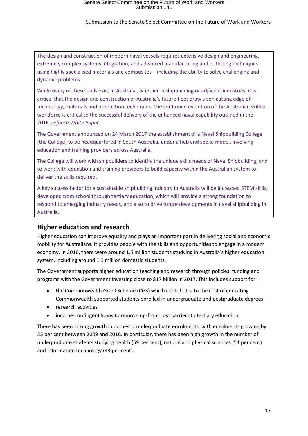#### Submission to the Senate Select Committee on the Future of Work and Workers

The design and construction of modern naval vessels requires extensive design and engineering, extremely complex systems integration, and advanced manufacturing and outfitting techniques using highly specialised materials and composites – including the ability to solve challenging and dynamic problems.

While many of these skills exist in Australia, whether in shipbuilding or adjacent industries, it is critical that the design and construction of Australia's future fleet draw upon cutting edge of technology, materials and production techniques. The continued evolution of the Australian skilled workforce is critical to the successful delivery of the enhanced naval capability outlined in the 2016 *Defence White Paper*.

The Government announced on 24 March 2017 the establishment of a Naval Shipbuilding College (the College) to be headquartered in South Australia, under a hub and spoke model, involving education and training providers across Australia.

The College will work with shipbuilders to identify the unique skills needs of Naval Shipbuilding, and to work with education and training providers to build capacity within the Australian system to deliver the skills required.

A key success factor for a sustainable shipbuilding industry in Australia will be increased STEM skills, developed from school through tertiary education, which will provide a strong foundation to respond to emerging industry needs, and also to drive future developments in naval shipbuilding in Australia.

#### <span id="page-16-0"></span>**Higher education and research**

Higher education can improve equality and plays an important part in delivering social and economic mobility for Australians. It provides people with the skills and opportunities to engage in a modern economy. In 2016, there were around 1.5 million students studying in Australia's higher education system, including around 1.1 million domestic students.

The Government supports higher education teaching and research through policies, funding and programs with the Government investing close to \$17 billion in 2017. This includes support for:

- the Commonwealth Grant Scheme (CGS) which contributes to the cost of educating Commonwealth supported students enrolled in undergraduate and postgraduate degrees
- research activities
- income-contingent loans to remove up-front cost barriers to tertiary education.

There has been strong growth in domestic undergraduate enrolments, with enrolments growing by 33 per cent between 2009 and 2016. In particular, there has been high growth in the number of undergraduate students studying health (59 per cent), natural and physical sciences (51 per cent) and information technology (43 per cent).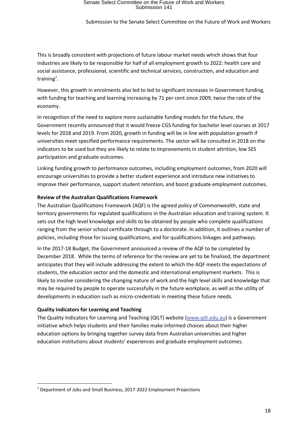Submission to the Senate Select Committee on the Future of Work and Workers

This is broadly consistent with projections of future labour market needs which shows that four industries are likely to be responsible for half of all employment growth to 2022: health care and social assistance, professional, scientific and technical services, construction, and education and training<sup>7</sup>.

However, this growth in enrolments also led to led to significant increases in Government funding, with funding for teaching and learning increasing by 71 per cent since 2009, twice the rate of the economy.

In recognition of the need to explore more sustainable funding models for the future, the Government recently announced that it would freeze CGS funding for bachelor level courses at 2017 levels for 2018 and 2019. From 2020, growth in funding will be in line with population growth if universities meet specified performance requirements. The sector will be consulted in 2018 on the indicators to be used but they are likely to relate to improvements in student attrition, low SES participation and graduate outcomes.

Linking funding growth to performance outcomes, including employment outcomes, from 2020 will encourage universities to provide a better student experience and introduce new initiatives to improve their performance, support student retention, and boost graduate employment outcomes.

#### <span id="page-17-0"></span>**Review of the Australian Qualifications Framework**

The Australian Qualifications Framework (AQF) is the agreed policy of Commonwealth, state and territory governments for regulated qualifications in the Australian education and training system. It sets out the high level knowledge and skills to be obtained by people who complete qualifications ranging from the senior school certificate through to a doctorate. In addition, it outlines a number of policies, including those for issuing qualifications, and for qualifications linkages and pathways.

In the 2017-18 Budget, the Government announced a review of the AQF to be completed by December 2018. While the terms of reference for the review are yet to be finalised, the department anticipates that they will include addressing the extent to which the AQF meets the expectations of students, the education sector and the domestic and international employment markets. This is likely to involve considering the changing nature of work and the high level skills and knowledge that may be required by people to operate successfully in the future workplace, as well as the utility of developments in education such as micro-credentials in meeting these future needs.

#### <span id="page-17-1"></span>**Quality indicators for Learning and Teaching**

**.** 

The Quality Indicators for Learning and Teaching (QILT) website [\(www.qilt.edu.au\)](http://www.qilt.edu.au/) is a Government initiative which helps students and their families make informed choices about their higher education options by bringing together survey data from Australian universities and higher education institutions about students' experiences and graduate employment outcomes.

 $7$  Department of Jobs and Small Business, 2017-2022 Employment Projections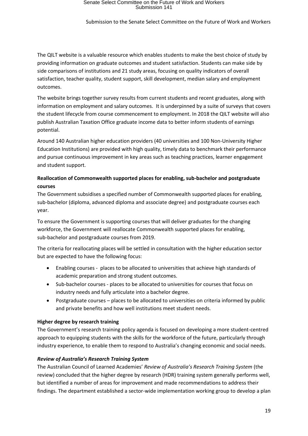The QILT website is a valuable resource which enables students to make the best choice of study by providing information on graduate outcomes and student satisfaction. Students can make side by side comparisons of institutions and 21 study areas, focusing on quality indicators of overall satisfaction, teacher quality, student support, skill development, median salary and employment outcomes.

The website brings together survey results from current students and recent graduates, along with information on employment and salary outcomes. It is underpinned by a suite of surveys that covers the student lifecycle from course commencement to employment. In 2018 the QILT website will also publish Australian Taxation Office graduate income data to better inform students of earnings potential.

Around 140 Australian higher education providers (40 universities and 100 Non-University Higher Education Institutions) are provided with high quality, timely data to benchmark their performance and pursue continuous improvement in key areas such as teaching practices, learner engagement and student support.

#### <span id="page-18-0"></span>**Reallocation of Commonwealth supported places for enabling, sub-bachelor and postgraduate courses**

The Government subsidises a specified number of Commonwealth supported places for enabling, sub-bachelor (diploma, advanced diploma and associate degree) and postgraduate courses each year.

To ensure the Government is supporting courses that will deliver graduates for the changing workforce, the Government will reallocate Commonwealth supported places for enabling, sub-bachelor and postgraduate courses from 2019.

The criteria for reallocating places will be settled in consultation with the higher education sector but are expected to have the following focus:

- Enabling courses places to be allocated to universities that achieve high standards of academic preparation and strong student outcomes.
- Sub-bachelor courses places to be allocated to universities for courses that focus on industry needs and fully articulate into a bachelor degree.
- Postgraduate courses places to be allocated to universities on criteria informed by public and private benefits and how well institutions meet student needs.

#### <span id="page-18-1"></span>**Higher degree by research training**

The Government's research training policy agenda is focused on developing a more student-centred approach to equipping students with the skills for the workforce of the future, particularly through industry experience, to enable them to respond to Australia's changing economic and social needs.

#### *Review of Australia's Research Training System*

The Australian Council of Learned Academies' *Review of Australia's Research Training System* (the review) concluded that the higher degree by research (HDR) training system generally performs well, but identified a number of areas for improvement and made recommendations to address their findings. The department established a sector-wide implementation working group to develop a plan